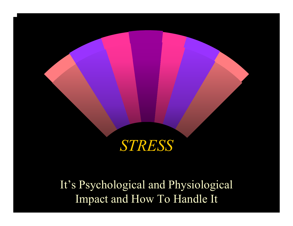#### *STRESS*

It's Psychological and Physiological Impact and How To Handle It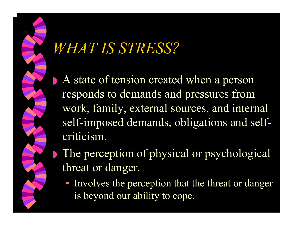### *WHAT IS STRESS?*

◗

- A state of tension created when a person responds to demands and pressures from work, family, external sources, and internal self-imposed demands, obligations and selfcriticism.
- The perception of physical or psychological threat or danger.
	- Involves the perception that the threat or danger is beyond our ability to cope.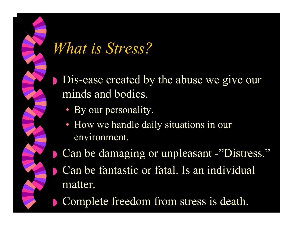# *What is Stress?*

◗ Dis-ease created by the abuse we give our minds and bodies.

• By our personality.

- How we handle daily situations in our environment.
- ◗ Can be damaging or unpleasant -"Distress." ◗ Can be fantastic or fatal. Is an individual matter.
	- Complete freedom from stress is death.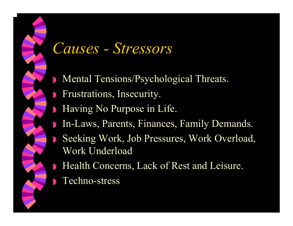#### *Causes - Stressors*

- ◗Mental Tensions/Psychological Threats.
- ◗Frustrations, Insecurity.
- ◗Having No Purpose in Life.
- ◗In-Laws, Parents, Finances, Family Demands.
- ◗ Seeking Work, Job Pressures, Work Overload, Work Underload
- ◗ Health Concerns, Lack of Rest and Leisure.
	- Techno-stress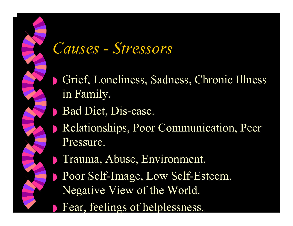#### *Causes - Stressors*

- ◗ Grief, Loneliness, Sadness, Chronic Illness in Family.
- ◗Bad Diet, Dis-ease.

- ◗ Relationships, Poor Communication, Peer Pressure.
	- Trauma, Abuse, Environment.
- ◗ Poor Self-Image, Low Self-Esteem. Negative View of the World.
- ◗**Fear, feelings of helplessness.**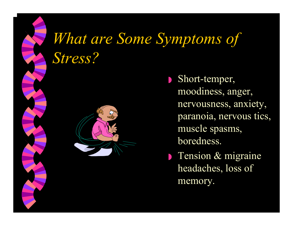# *What are Some Symptoms of Stress?*



◗ Short-temper, moodiness, anger, nervousness, anxiety, paranoia, nervous tics, muscle spasms, boredness.

**Tension & migraine** headaches, loss of memory.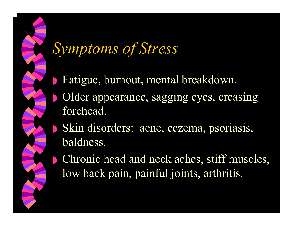## *Symptoms of Stress*

- $\begin{array}{c} \hline \end{array}$ Fatigue, burnout, mental breakdown.
- ◗ Older appearance, sagging eyes, creasing forehead.
- ◗ Skin disorders: acne, eczema, psoriasis, baldness.
	- Chronic head and neck aches, stiff muscles, low back pain, painful joints, arthritis.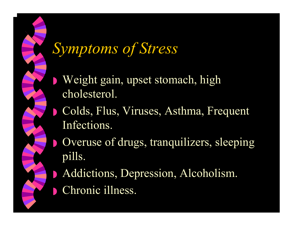## *Symptoms of Stress*

- ◗ Weight gain, upset stomach, high cholesterol.
- ◗ Colds, Flus, Viruses, Asthma, Frequent Infections.
	- Overuse of drugs, tranquilizers, sleeping pills.
- ◗ Addictions, Depression, Alcoholism. ◗Chronic illness.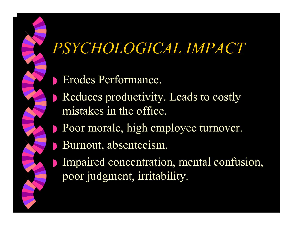### *PSYCHOLOGICAL IMPACT*

- ◗ Erodes Performance.
- ◗ Reduces productivity. Leads to costly mistakes in the office.
- ◗ Poor morale, high employee turnover.
	- Burnout, absenteeism.

◗

◗ Impaired concentration, mental confusion, poor judgment, irritability.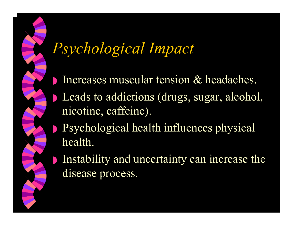### *Psychological Impact*

- $\begin{array}{c} \hline \end{array}$ Increases muscular tension & headaches.
- ◗ Leads to addictions (drugs, sugar, alcohol, nicotine, caffeine).
- ◗ Psychological health influences physical health.
- ◗ Instability and uncertainty can increase the disease process.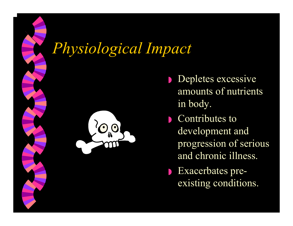#### *Physiological Impact*



- ◗ Depletes excessive amounts of nutrients in body.
- ◗ Contributes to development and progression of serious and chronic illness.
- ◗ Exacerbates preexisting conditions.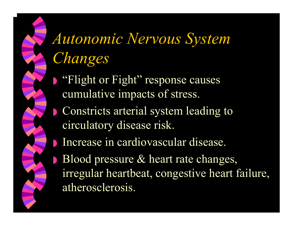# *Autonomic Nervous System Changes*

- ◗ "Flight or Fight" response causes cumulative impacts of stress.
- ◗ Constricts arterial system leading to circulatory disease risk.
- ◗Increase in cardiovascular disease.
- ◗ Blood pressure & heart rate changes, irregular heartbeat, congestive heart failure, atherosclerosis.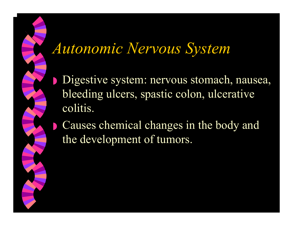### *Autonomic Nervous System*

◗

◗ Digestive system: nervous stomach, nausea, bleeding ulcers, spastic colon, ulcerative colitis.

 Causes chemical changes in the body and the development of tumors.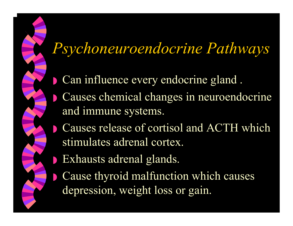### *Psychoneuroendocrine Pathways*

- $\begin{array}{c} \hline \end{array}$ Can influence every endocrine gland .
- ◗ Causes chemical changes in neuroendocrine and immune systems.
- ◗ Causes release of cortisol and ACTH which stimulates adrenal cortex.
- ◗Exhausts adrenal glands.

 $\Box$ 

 Cause thyroid malfunction which causes depression, weight loss or gain.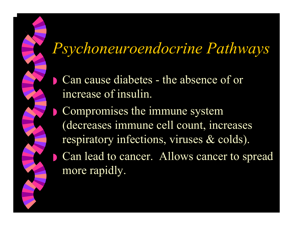#### *Psychoneuroendocrine Pathways*

- $\begin{array}{c} \hline \end{array}$  Can cause diabetes - the absence of or increase of insulin.
- ◗ Compromises the immune system (decreases immune cell count, increases respiratory infections, viruses & colds). Can lead to cancer. Allows cancer to spread more rapidly.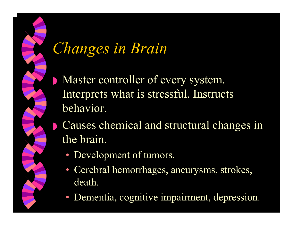### *Changes in Brain*

- ◗ Master controller of every system. Interprets what is stressful. Instructs behavior.
	- Causes chemical and structural changes in the brain.
		- Development of tumors.
		- Cerebral hemorrhages, aneurysms, strokes, death.
		- Dementia, cognitive impairment, depression.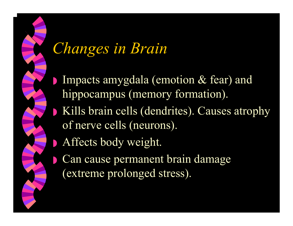### *Changes in Brain*

- ◗ Impacts amygdala (emotion & fear) and hippocampus (memory formation).
- ◗ Kills brain cells (dendrites). Causes atrophy of nerve cells (neurons).
- ◗Affects body weight.

◗

 Can cause permanent brain damage (extreme prolonged stress).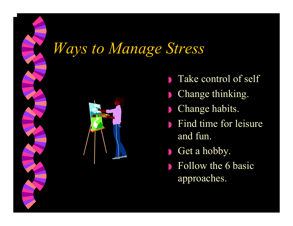#### *Ways to Manage Stress*



- ◗Take control of self
- ◗Change thinking.
- ◗Change habits.
- ◗ Find time for leisure and fun.
- ◗Get a hobby.
- ◗ Follow the 6 basic approaches.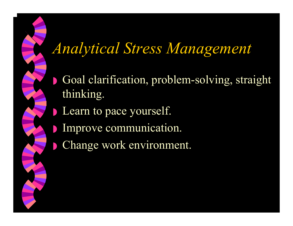### *Analytical Stress Management*

- $\begin{array}{c} \hline \end{array}$  Goal clarification, problem-solving, straight thinking.
- ◗Learn to pace yourself.

- **Improve communication.** 
	- Change work environment.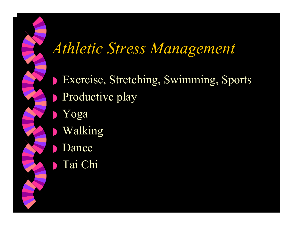#### *Athletic Stress Management*

◗ Exercise, Stretching, Swimming, Sports ◗ Productive play ◗ Yoga ◗ Walking ◗**Dance** ◗ Tai Chi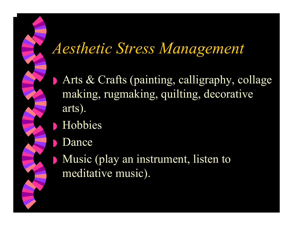#### *Aesthetic Stress Management*

- ◗ Arts & Crafts (painting, calligraphy, collage making, rugmaking, quilting, decorative arts).
- ◗ Hobbies
- ◗**Dance**

◗

 Music (play an instrument, listen to meditative music).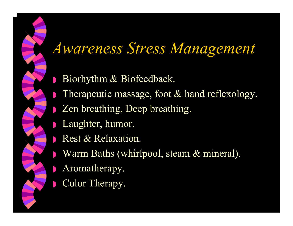### *Awareness Stress Management*

- ◗Biorhythm & Biofeedback.
- ◗Therapeutic massage, foot & hand reflexology.
- ◗ Zen breathing, Deep breathing.
- ◗Laughter, humor.
- ◗Rest & Relaxation.
- ◗ Warm Baths (whirlpool, steam & mineral).
	- Aromatherapy.

◗

◗Color Therapy.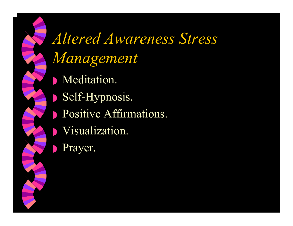*Altered Awareness Stress Management* ◗ Meditation. ◗ Self-Hypnosis. **• Positive Affirmations.** ◗ Visualization. ◗Prayer.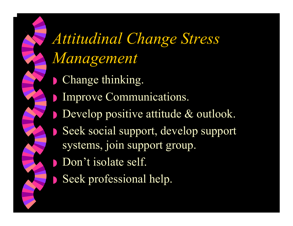*Attitudinal Change Stress Management* **• Change thinking. • Improve Communications.** ◗ Develop positive attitude & outlook. ◗ Seek social support, develop support systems, join support group. ■ Don't isolate self. ◗Seek professional help.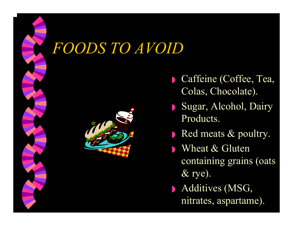### *FOODS TO AVOID*



- ◗ Caffeine (Coffee, Tea, Colas, Chocolate).
- ◗ Sugar, Alcohol, Dairy Products.
- ◗ Red meats & poultry.
- ◗Wheat & Gluten containing grains (oats & rye).
- ◗ Additives (MSG, nitrates, aspartame).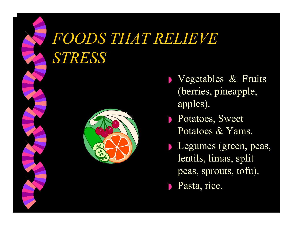## *FOODS THAT RELIEVE STRESS*



- ◗ Vegetables & Fruits (berries, pineapple, apples).
- ◗ Potatoes, Sweet Potatoes & Yams.
- ◗ Legumes (green, peas, lentils, limas, split peas, sprouts, tofu).
- ◗Pasta, rice.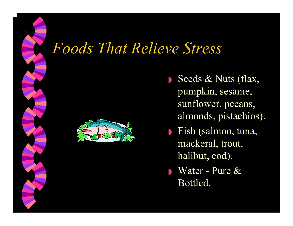#### *Foods That Relieve Stress*



◗Seeds & Nuts (flax, pumpkin, sesame, sunflower, pecans, almonds, pistachios).

- ◗ Fish (salmon, tuna, mackeral, trout, halibut, cod).
- ◗ Water - Pure & Bottled.